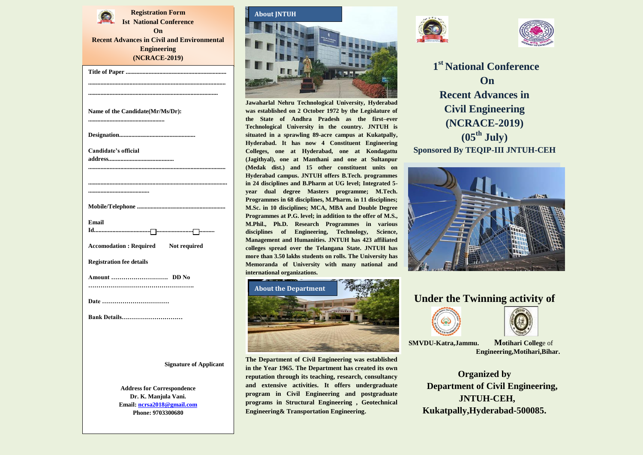**Registration Form Ist National Conference On Recent Advances in Civil and Environmental Engineering (NCRACE-2019) (DATE) Title of Paper .................................................................. .......................................................................................... ..................................................................................... Name of the Candidate(Mr/Ms/Dr): .................................................. Designation.................................................. Candidate's official address........................................... .......................................................................................... ........................................................................................... ........................................ Mobile/Telephone .......................................................... Email Id...............................................................................**  Accomodation : Required Not required **Registration fee details Amount ………………………. DD No ……………………………………………. Date …………………………… Bank Details………………………… Signature of Applicant Address for Correspondence Dr. K. Manjula Vani. Email: [ncrsa2018@gmail.com](mailto:ncrsa2018@gmail.com) Phone: 9703300680**



**Jawaharlal Nehru Technological University, Hyderabad was established on 2 October 1972 by the Legislature of the State of Andhra Pradesh as the first–ever Technological University in the country. JNTUH is situated in a sprawling 89-acre campus at Kukatpally, Hyderabad. It has now 4 Constituent Engineering Colleges, one at Hyderabad, one at Kondagattu (Jagithyal), one at Manthani and one at Sultanpur (Medak dist.) and 15 other constituent units on Hyderabad campus. JNTUH offers B.Tech. programmes in 24 disciplines and B.Pharm at UG level; Integrated 5 year dual degree Masters programme; M.Tech. Programmes in 68 disciplines, M.Pharm. in 11 disciplines; M.Sc. in 10 disciplines; MCA, MBA and Double Degree Programmes at P.G. level; in addition to the offer of M.S., M.Phil., Ph.D. Research Programmes in various disciplines of Engineering, Technology, Science, Management and Humanities. JNTUH has 423 affiliated colleges spread over the Telangana State. JNTUH has more than 3.50 lakhs students on rolls. The University has Memoranda of University with many national and international organizations.**



**The Department of Civil Engineering was established in the Year 1965. The Department has created its own reputation through its teaching, research, consultancy and extensive activities. It offers undergraduate program in Civil Engineering and postgraduate programs in Structural Engineering , Geotechnical Engineering& Transportation Engineering.**





**1 st National Conference On Recent Advances in Civil Engineering (NCRACE-2019) (05th July) Sponsored By TEQIP-III JNTUH-CEH**



## **Under the Twinning activity of**





**SMVDU-Katra,Jammu. Motihari Colleg**e of  **Engineering,Motihari,Bihar.**

**Organized by Department of Civil Engineering, JNTUH-CEH, Kukatpally,Hyderabad-500085.**